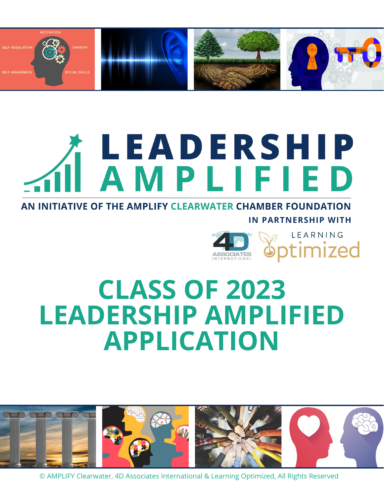

# **TLEADERSHIP<br>I AMPLIFIED**

AN INITIATIVE OF THE AMPLIFY CLEARWATER CHAMBER FOUNDATION **IN PARTNERSHIP WITH**



# **CLASS OF 2023 LEADERSHIP AMPLIFIED APPLICATION**

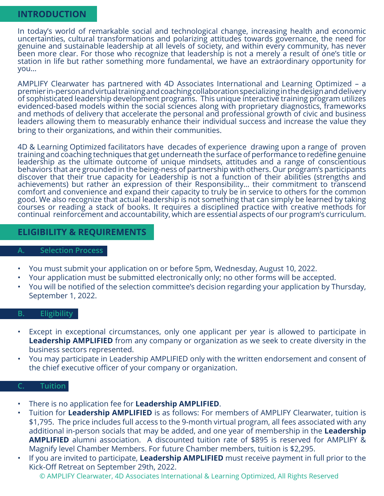# **INTRODUCTION**

In today's world of remarkable social and technological change, increasing health and economic uncertainties, cultural transformations and polarizing attitudes towards governance, the need for genuine and sustainable leadership at all levels of society, and within every community, has never been more clear. For those who recognize that leadership is not a merely a result of one's title or station in life but rather something more fundamental, we have an extraordinary opportunity for you…

AMPLIFY Clearwater has partnered with 4D Associates International and Learning Optimized – a premier in-person and virtual training and coaching collaboration specializing in the design and delivery of sophisticated leadership development programs. This unique interactive training program utilizes evidenced-based models within the social sciences along with proprietary diagnostics, frameworks and methods of delivery that accelerate the personal and professional growth of civic and business leaders allowing them to measurably enhance their individual success and increase the value they bring to their organizations, and within their communities.

4D & Learning Optimized facilitators have decades of experience drawing upon a range of proven training and coaching techniques that get underneath the surface of performance to redefine genuine leadership as the ultimate outcome of unique mindsets, attitudes and a range of conscientious behaviors that are grounded in the being-ness of partnership with others. Our program's participants discover that their true capacity for Leadership is not a function of their abilities (strengths and achievements) but rather an expression of their Responsibility... their commitment to transcend comfort and convenience and expand their capacity to truly be in service to others for the common good. We also recognize that actual leadership is not something that can simply be learned by taking courses or reading a stack of books. It requires a disciplined practice with creative methods for continual reinforcement and accountability, which are essential aspects of our program's curriculum.

# **ELIGIBILITY & REQUIREMENTS**

#### **A. Selection Process**

- You must submit your application on or before 5pm, Wednesday, August 10, 2022.
- Your application must be submitted electronically only; no other forms will be accepted.
- You will be notified of the selection committee's decision regarding your application by Thursday, September 1, 2022.

#### **B. Eligibility**

- Except in exceptional circumstances, only one applicant per year is allowed to participate in **Leadership AMPLIFIED** from any company or organization as we seek to create diversity in the business sectors represented.
- You may participate in Leadership AMPLIFIED only with the written endorsement and consent of the chief executive officer of your company or organization.

# **C. Tuition**

- There is no application fee for **Leadership AMPLIFIED**.
- Tuition for **Leadership AMPLIFIED** is as follows: For members of AMPLIFY Clearwater, tuition is \$1,795. The price includes full access to the 9-month virtual program, all fees associated with any additional in-person socials that may be added, and one year of membership in the **Leadership AMPLIFIED** alumni association. A discounted tuition rate of \$895 is reserved for AMPLIFY & Magnify level Chamber Members. For future Chamber members, tuition is \$2,295.
- If you are invited to participate, **Leadership AMPLIFIED** must receive payment in full prior to the Kick-Off Retreat on September 29th, 2022.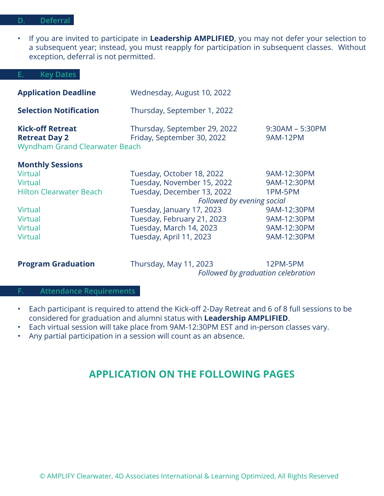#### **D. Deferral**

• If you are invited to participate in **Leadership AMPLIFIED**, you may not defer your selection to a subsequent year; instead, you must reapply for participation in subsequent classes. Without exception, deferral is not permitted.

#### **E. Key Dates**

| <b>Application Deadline</b>                                                       | Wednesday, August 10, 2022                                 |                                      |
|-----------------------------------------------------------------------------------|------------------------------------------------------------|--------------------------------------|
| <b>Selection Notification</b>                                                     | Thursday, September 1, 2022                                |                                      |
| <b>Kick-off Retreat</b><br><b>Retreat Day 2</b><br>Wyndham Grand Clearwater Beach | Thursday, September 29, 2022<br>Friday, September 30, 2022 | $9:30AM - 5:30PM$<br><b>9AM-12PM</b> |
| <b>Monthly Sessions</b>                                                           |                                                            |                                      |

| Virtual                        | Tuesday, October 18, 2022  | 9AM-12:30PM                |  |
|--------------------------------|----------------------------|----------------------------|--|
| <b>Virtual</b>                 | Tuesday, November 15, 2022 | 9AM-12:30PM                |  |
| <b>Hilton Clearwater Beach</b> | Tuesday, December 13, 2022 | 1PM-5PM                    |  |
|                                |                            | Followed by evening social |  |
| Virtual                        | Tuesday, January 17, 2023  | 9AM-12:30PM                |  |
| <b>Virtual</b>                 | Tuesday, February 21, 2023 | 9AM-12:30PM                |  |
| <b>Virtual</b>                 | Tuesday, March 14, 2023    | 9AM-12:30PM                |  |
| <b>Virtual</b>                 | Tuesday, April 11, 2023    | 9AM-12:30PM                |  |

**Program Graduation** Thursday, May 11, 2023 12PM-5PM *Followed by graduation celebration*

### **F. Attendance Requirements**

- Each participant is required to attend the Kick-off 2-Day Retreat and 6 of 8 full sessions to be considered for graduation and alumni status with **Leadership AMPLIFIED**.
- Each virtual session will take place from 9AM-12:30PM EST and in-person classes vary.
- Any partial participation in a session will count as an absence.

# **APPLICATION ON THE FOLLOWING PAGES**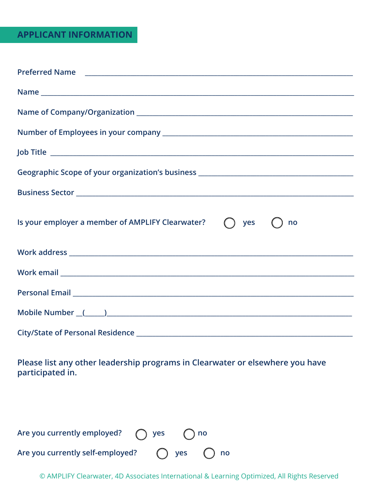# **APPLICANT INFORMATION**

| Name                                                                                                           |
|----------------------------------------------------------------------------------------------------------------|
|                                                                                                                |
|                                                                                                                |
|                                                                                                                |
| Geographic Scope of your organization's business _______________________________                               |
|                                                                                                                |
| Is your employer a member of AMPLIFY Clearwater?<br>yes<br>no                                                  |
|                                                                                                                |
|                                                                                                                |
|                                                                                                                |
| Mobile Number (Call 2012) 2012 12:00:00 12:00:00 12:00:00 12:00:00 12:00:00 12:00:00 12:00:00 12:00:00 12:00:0 |
|                                                                                                                |

**Please list any other leadership programs in Clearwater or elsewhere you have participated in.**

| Are you currently employed?      | $\bigcap$ yes | $\bigcap$ no |                            |
|----------------------------------|---------------|--------------|----------------------------|
| Are you currently self-employed? |               |              | $\bigcap$ yes $\bigcap$ no |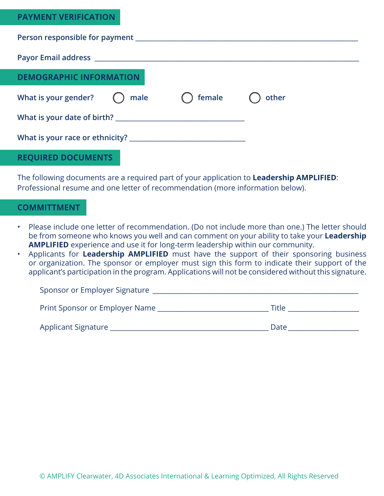# **PAYMENT VERIFICATION**

| Person responsible for payment example and the set of the set of the set of the set of the set of the set of the set of the set of the set of the set of the set of the set of the set of the set of the set of the set of the |  |                  |       |  |
|--------------------------------------------------------------------------------------------------------------------------------------------------------------------------------------------------------------------------------|--|------------------|-------|--|
|                                                                                                                                                                                                                                |  |                  |       |  |
| <b>DEMOGRAPHIC INFORMATION</b>                                                                                                                                                                                                 |  |                  |       |  |
| What is your gender? $\bigcirc$ male                                                                                                                                                                                           |  | $\bigcap$ female | other |  |
|                                                                                                                                                                                                                                |  |                  |       |  |
|                                                                                                                                                                                                                                |  |                  |       |  |
| <b>REQUIRED DOCUMENTS</b>                                                                                                                                                                                                      |  |                  |       |  |

The following documents are a required part of your application to **Leadership AMPLIFIED**: Professional resume and one letter of recommendation (more information below).

# **COMMITTMENT**

- Please include one letter of recommendation. (Do not include more than one.) The letter should be from someone who knows you well and can comment on your ability to take your **Leadership AMPLIFIED** experience and use it for long-term leadership within our community.
- Applicants for **Leadership AMPLIFIED** must have the support of their sponsoring business or organization. The sponsor or employer must sign this form to indicate their support of the applicant's participation in the program. Applications will not be considered without this signature.

| Sponsor or Employer Signature  |       |
|--------------------------------|-------|
| Print Sponsor or Employer Name | Title |
| Applicant Signature            | Date  |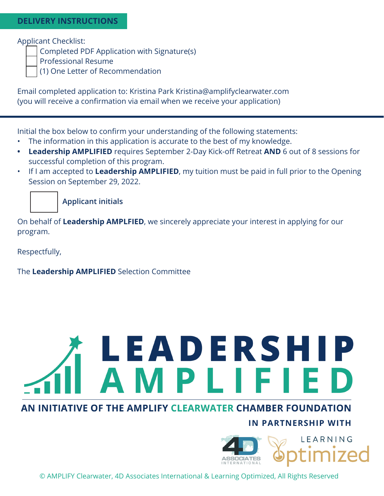# **DELIVERY INSTRUCTIONS**

Applicant Checklist:

Completed PDF Application with Signature(s)

Professional Resume

(1) One Letter of Recommendation

Email completed application to: Kristina Park Kristina@amplifyclearwater.com (you will receive a confirmation via email when we receive your application)

Initial the box below to confirm your understanding of the following statements:

- The information in this application is accurate to the best of my knowledge.
- **• Leadership AMPLIFIED** requires September 2-Day Kick-off Retreat **AND** 6 out of 8 sessions for successful completion of this program.
- If I am accepted to **Leadership AMPLIFIED**, my tuition must be paid in full prior to the Opening Session on September 29, 2022.

 **Applicant initials**

On behalf of **Leadership AMPLFIED**, we sincerely appreciate your interest in applying for our program.

Respectfully,

The **Leadership AMPLIFIED** Selection Committee

# LEADERSHIP<br>AMPLIFIED

# AN INITIATIVE OF THE AMPLIFY CLEARWATER CHAMBER FOUNDATION

# **IN PARTNERSHIP WITH**

LEARNING